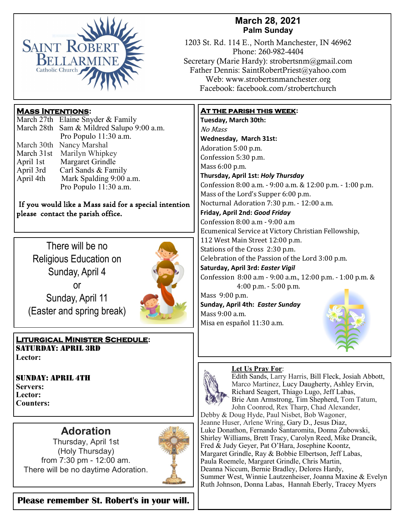

# **March 28, 2021 Palm Sunday**

1203 St. Rd. 114 E., North Manchester, IN 46962 Phone: 260-982-4404 Secretary (Marie Hardy): strobertsnm@gmail.com Father Dennis: SaintRobertPriest@yahoo.com Web: www.strobertsnmanchester.org Facebook: facebook.com/strobertchurch

## **Mass Intentions:**

|            | March 27th Elaine Snyder & Family         |
|------------|-------------------------------------------|
|            | March 28th Sam & Mildred Salupo 9:00 a.m. |
|            | Pro Populo 11:30 a.m.                     |
| March 30th | Nancy Marshal                             |
| March 31st | Marilyn Whipkey                           |
| April 1st  | Margaret Grindle                          |
| April 3rd  | Carl Sands & Family                       |
| April 4th  | Mark Spalding 9:00 a.m.                   |
|            | Pro Populo 11:30 a.m.                     |

#### If you would like a Mass said for a special intention please contact the parish office.

There will be no Religious Education on Sunday, April 4 or Sunday, April 11 (Easter and spring break)



**Liturgical Minister Schedule:** Saturday: April 3rd **Lector:**

Sunday: April 4th **Servers: Lector: Counters:** 

# **Adoration**

Thursday, April 1st (Holy Thursday) from 7:30 pm - 12:00 am. There will be no daytime Adoration.



**Please remember St. Robert's in your will.** 

### **At the parish this week:**

**Tuesday, March 30th:**  No Mass **Wednesday, March 31st:** Adoration 5:00 p.m. Confession 5:30 p.m. Mass 6:00 p.m. **Thursday, April 1st:** *Holy Thursday*  Confession 8:00 a.m. - 9:00 a.m. & 12:00 p.m. - 1:00 p.m. Mass of the Lord's Supper 6:00 p.m. Nocturnal Adoration 7:30 p.m. - 12:00 a.m. **Friday, April 2nd:** *Good Friday* Confession 8:00 a.m - 9:00 a.m Ecumenical Service at Victory Christian Fellowship, 112 West Main Street 12:00 p.m. Stations of the Cross 2:30 p.m. Celebration of the Passion of the Lord 3:00 p.m. **Saturday, April 3rd:** *Easter Vigil* Confession 8:00 a.m - 9:00 a.m., 12:00 p.m. - 1:00 p.m. & 4:00 p.m. - 5:00 p.m. Mass 9:00 p.m. **Sunday, April 4th:** *Easter Sunday*  Mass 9:00 a.m. Misa en español 11:30 a.m.

#### **Let Us Pray For**:



Edith Sands, Larry Harris, Bill Fleck, Josiah Abbott, Marco Martinez, Lucy Daugherty, Ashley Ervin, Richard Seagert, Thiago Lugo, Jeff Labas, Brie Ann Armstrong, Tim Shepherd, Tom Tatum, John Coonrod, Rex Tharp, Chad Alexander,

Debby & Doug Hyde, Paul Nisbet, Bob Wagoner, Jeanne Huser, Arlene Wring, Gary D., Jesus Diaz, Luke Donathon, Fernando Santaromita, Donna Zubowski, Shirley Williams, Brett Tracy, Carolyn Reed, Mike Drancik, Fred & Judy Geyer, Pat O'Hara, Josephine Koontz, Margaret Grindle, Ray & Bobbie Elbertson, Jeff Labas, Paula Roemele, Margaret Grindle, Chris Martin, Deanna Niccum, Bernie Bradley, Delores Hardy, Summer West, Winnie Lautzenheiser, Joanna Maxine & Evelyn Ruth Johnson, Donna Labas, Hannah Eberly, Tracey Myers